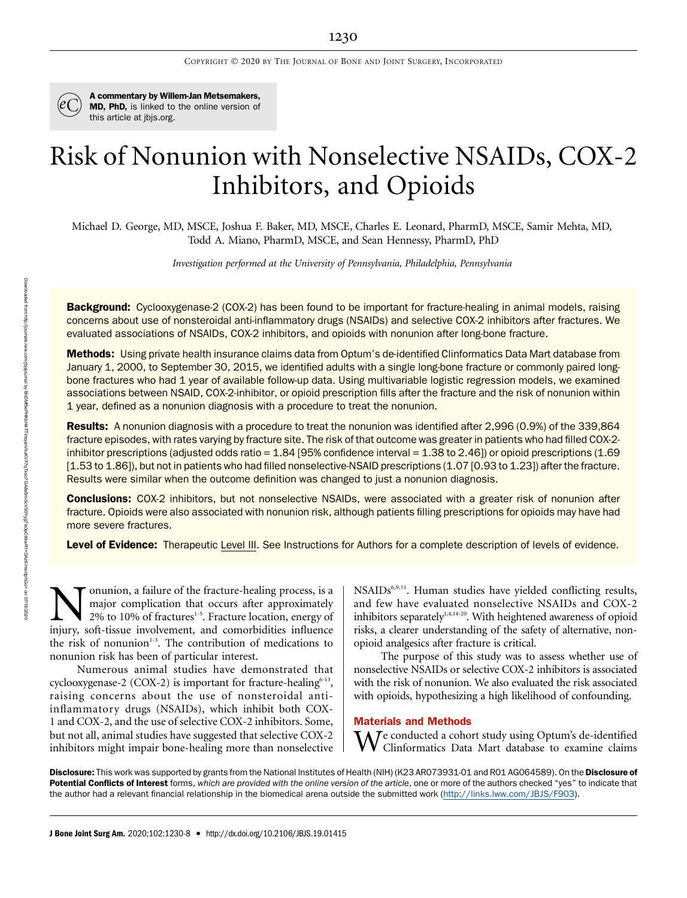

A commentary by Willem-Jan Metsemakers, MD, PhD, is linked to the online version of this article at [jbjs.org.](http://jbjs.org)

# Risk of Nonunion with Nonselective NSAIDs, COX-2 Inhibitors, and Opioids

Michael D. George, MD, MSCE, Joshua F. Baker, MD, MSCE, Charles E. Leonard, PharmD, MSCE, Samir Mehta, MD, Todd A. Miano, PharmD, MSCE, and Sean Hennessy, PharmD, PhD

Investigation performed at the University of Pennsylvania, Philadelphia, Pennsylvania

**Background:** Cyclooxygenase-2 (COX-2) has been found to be important for fracture-healing in animal models, raising concerns about use of nonsteroidal anti-inflammatory drugs (NSAIDs) and selective COX-2 inhibitors after fractures. We evaluated associations of NSAIDs, COX-2 inhibitors, and opioids with nonunion after long-bone fracture.

Methods: Using private health insurance claims data from Optum's de-identified Clinformatics Data Mart database from January 1, 2000, to September 30, 2015, we identified adults with a single long-bone fracture or commonly paired longbone fractures who had 1 year of available follow-up data. Using multivariable logistic regression models, we examined associations between NSAID, COX-2-inhibitor, or opioid prescription fills after the fracture and the risk of nonunion within 1 year, defined as a nonunion diagnosis with a procedure to treat the nonunion.

Results: A nonunion diagnosis with a procedure to treat the nonunion was identified after 2,996 (0.9%) of the 339,864 fracture episodes, with rates varying by fracture site. The risk of that outcome was greater in patients who had filled COX-2 inhibitor prescriptions (adjusted odds ratio =  $1.84$  [95% confidence interval =  $1.38$  to  $2.46$ ]) or opioid prescriptions (1.69 [1.53 to 1.86]), but not in patients who had filled nonselective-NSAID prescriptions (1.07 [0.93 to 1.23]) after the fracture. Results were similar when the outcome definition was changed to just a nonunion diagnosis.

**Conclusions:** COX-2 inhibitors, but not nonselective NSAIDs, were associated with a greater risk of nonunion after fracture. Opioids were also associated with nonunion risk, although patients filling prescriptions for opioids may have had more severe fractures.

Level of Evidence: Therapeutic Level III. See Instructions for Authors for a complete description of levels of evidence.

**Nonunion, a failure of the fracture-healing process, is a** major complication that occurs after approximately 2% to 10% of fractures<sup>1-5</sup>. Fracture location, energy of injury, soft-tissue involvement, and comorbidities in major complication that occurs after approximately 2% to 10% of fractures<sup>1-5</sup>. Fracture location, energy of injury, soft-tissue involvement, and comorbidities influence the risk of nonunion<sup>1-3</sup>. The contribution of medications to nonunion risk has been of particular interest.

Numerous animal studies have demonstrated that cyclooxygenase-2 (COX-2) is important for fracture-healing<sup>6-13</sup>, raising concerns about the use of nonsteroidal antiinflammatory drugs (NSAIDs), which inhibit both COX-1 and COX-2, and the use of selective COX-2 inhibitors. Some, but not all, animal studies have suggested that selective COX-2 inhibitors might impair bone-healing more than nonselective NSAIDs<sup>6,9,11</sup>. Human studies have yielded conflicting results, and few have evaluated nonselective NSAIDs and COX-2 inhibitors separately<sup>1,4,14-20</sup>. With heightened awareness of opioid risks, a clearer understanding of the safety of alternative, nonopioid analgesics after fracture is critical.

The purpose of this study was to assess whether use of nonselective NSAIDs or selective COX-2 inhibitors is associated with the risk of nonunion. We also evaluated the risk associated with opioids, hypothesizing a high likelihood of confounding.

## Materials and Methods

We conducted a cohort study using Optum's de-identified Clinformatics Data Mart database to examine claims

Disclosure: This work was supported by grants from the National Institutes of Health (NIH) (K23 AR073931-01 and R01 AG064589). On the Disclosure of Potential Conflicts of Interest forms, which are provided with the online version of the article, one or more of the authors checked "yes" to indicate that the author had a relevant financial relationship in the biomedical arena outside the submitted work [\(http://links.lww.com/JBJS/F903\)](http://links.lww.com/JBJS/F903).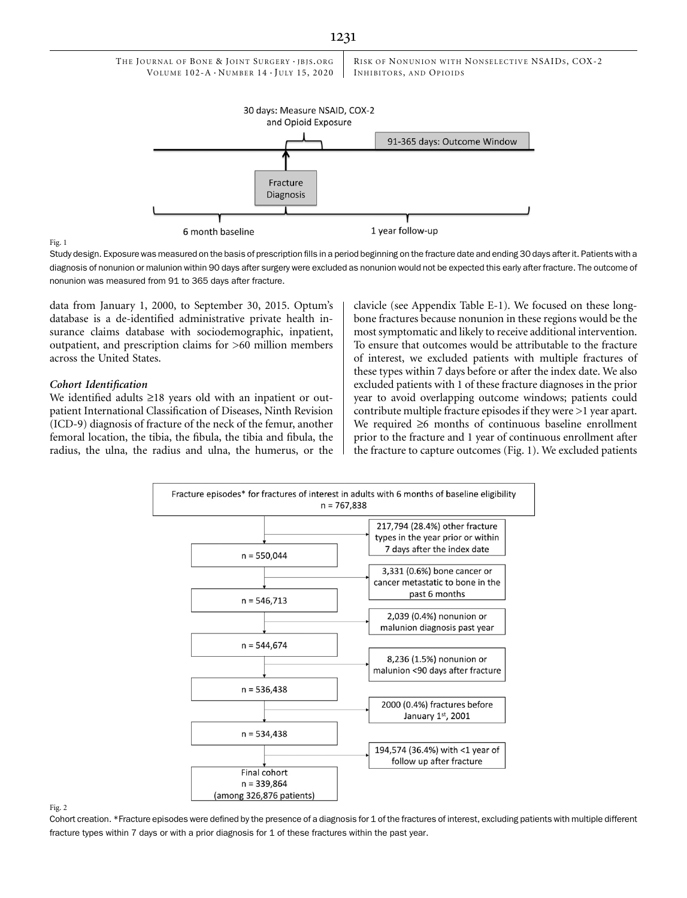

#### Fig. 1

Study design. Exposure was measured on the basis of prescription fills in a period beginning on the fracture date and ending 30 days after it. Patients with a diagnosis of nonunion or malunion within 90 days after surgery were excluded as nonunion would not be expected this early after fracture. The outcome of nonunion was measured from 91 to 365 days after fracture.

data from January 1, 2000, to September 30, 2015. Optum's database is a de-identified administrative private health insurance claims database with sociodemographic, inpatient, outpatient, and prescription claims for >60 million members across the United States.

## Cohort Identification

We identified adults  $\geq 18$  years old with an inpatient or outpatient International Classification of Diseases, Ninth Revision (ICD-9) diagnosis of fracture of the neck of the femur, another femoral location, the tibia, the fibula, the tibia and fibula, the radius, the ulna, the radius and ulna, the humerus, or the clavicle (see Appendix Table E-1). We focused on these longbone fractures because nonunion in these regions would be the most symptomatic and likely to receive additional intervention. To ensure that outcomes would be attributable to the fracture of interest, we excluded patients with multiple fractures of these types within 7 days before or after the index date. We also excluded patients with 1 of these fracture diagnoses in the prior year to avoid overlapping outcome windows; patients could contribute multiple fracture episodes if they were >1 year apart. We required  $\geq 6$  months of continuous baseline enrollment prior to the fracture and 1 year of continuous enrollment after the fracture to capture outcomes (Fig. 1). We excluded patients



#### Fig. 2

Cohort creation. \*Fracture episodes were defined by the presence of a diagnosis for 1 of the fractures of interest, excluding patients with multiple different fracture types within 7 days or with a prior diagnosis for 1 of these fractures within the past year.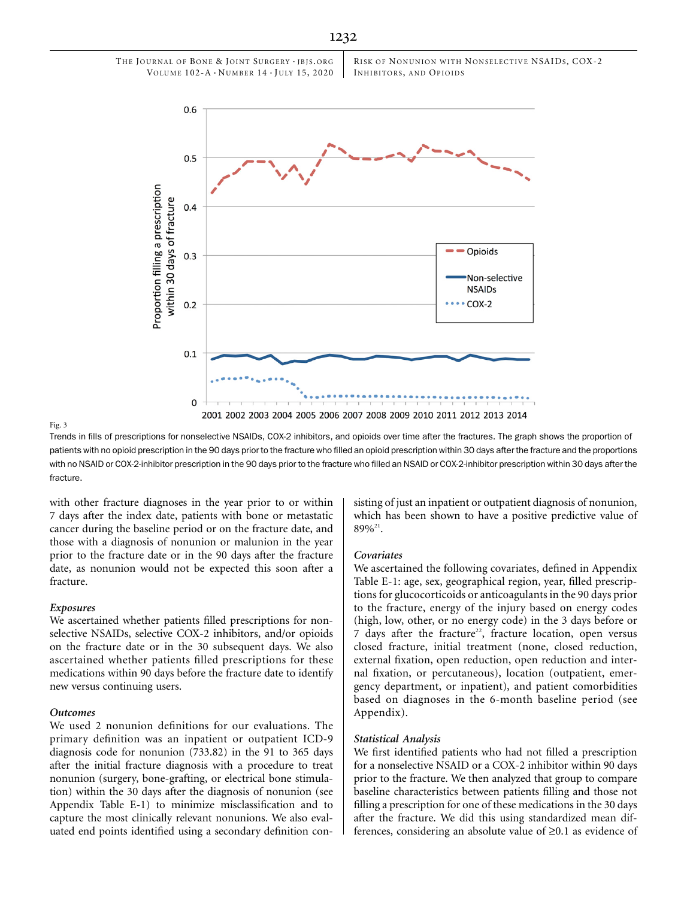RISK OF NONUNION WITH NONSELECTIVE NSAIDS, COX-2 INHIBITORS, AND OPIOIDS



#### Fig. 3

Trends in fills of prescriptions for nonselective NSAIDs, COX-2 inhibitors, and opioids over time after the fractures. The graph shows the proportion of patients with no opioid prescription in the 90 days prior to the fracture who filled an opioid prescription within 30 days after the fracture and the proportions with no NSAID or COX-2-inhibitor prescription in the 90 days prior to the fracture who filled an NSAID or COX-2-inhibitor prescription within 30 days after the fracture.

with other fracture diagnoses in the year prior to or within 7 days after the index date, patients with bone or metastatic cancer during the baseline period or on the fracture date, and those with a diagnosis of nonunion or malunion in the year prior to the fracture date or in the 90 days after the fracture date, as nonunion would not be expected this soon after a fracture.

### Exposures

We ascertained whether patients filled prescriptions for nonselective NSAIDs, selective COX-2 inhibitors, and/or opioids on the fracture date or in the 30 subsequent days. We also ascertained whether patients filled prescriptions for these medications within 90 days before the fracture date to identify new versus continuing users.

# Outcomes

We used 2 nonunion definitions for our evaluations. The primary definition was an inpatient or outpatient ICD-9 diagnosis code for nonunion (733.82) in the 91 to 365 days after the initial fracture diagnosis with a procedure to treat nonunion (surgery, bone-grafting, or electrical bone stimulation) within the 30 days after the diagnosis of nonunion (see Appendix Table E-1) to minimize misclassification and to capture the most clinically relevant nonunions. We also evaluated end points identified using a secondary definition consisting of just an inpatient or outpatient diagnosis of nonunion, which has been shown to have a positive predictive value of 89%21.

#### Covariates

We ascertained the following covariates, defined in Appendix Table E-1: age, sex, geographical region, year, filled prescriptions for glucocorticoids or anticoagulants in the 90 days prior to the fracture, energy of the injury based on energy codes (high, low, other, or no energy code) in the 3 days before or  $7$  days after the fracture<sup>22</sup>, fracture location, open versus closed fracture, initial treatment (none, closed reduction, external fixation, open reduction, open reduction and internal fixation, or percutaneous), location (outpatient, emergency department, or inpatient), and patient comorbidities based on diagnoses in the 6-month baseline period (see Appendix).

## Statistical Analysis

We first identified patients who had not filled a prescription for a nonselective NSAID or a COX-2 inhibitor within 90 days prior to the fracture. We then analyzed that group to compare baseline characteristics between patients filling and those not filling a prescription for one of these medications in the 30 days after the fracture. We did this using standardized mean differences, considering an absolute value of  $\geq 0.1$  as evidence of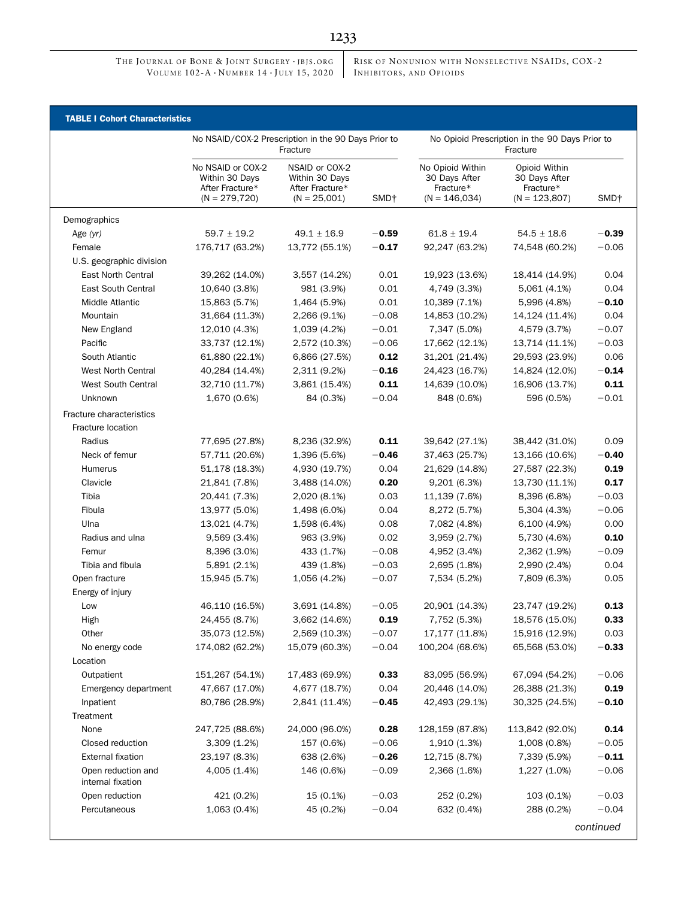RISK OF NONUNION WITH NONSELECTIVE NSAIDS, COX-2 INHIBITORS, AND OPIOIDS

|                                         | <b>TABLE I Cohort Characteristics</b>                                      |                                                                       |                  |                                                                   |                                                                |                  |  |
|-----------------------------------------|----------------------------------------------------------------------------|-----------------------------------------------------------------------|------------------|-------------------------------------------------------------------|----------------------------------------------------------------|------------------|--|
|                                         | No NSAID/COX-2 Prescription in the 90 Days Prior to<br>Fracture            |                                                                       |                  | No Opioid Prescription in the 90 Days Prior to<br>Fracture        |                                                                |                  |  |
|                                         | No NSAID or COX-2<br>Within 30 Days<br>After Fracture*<br>$(N = 279, 720)$ | NSAID or COX-2<br>Within 30 Days<br>After Fracture*<br>$(N = 25,001)$ | SMD <sup>+</sup> | No Opioid Within<br>30 Days After<br>Fracture*<br>$(N = 146,034)$ | Opioid Within<br>30 Days After<br>Fracture*<br>$(N = 123,807)$ | SMD <sup>+</sup> |  |
| Demographics                            |                                                                            |                                                                       |                  |                                                                   |                                                                |                  |  |
| Age (yr)                                | $59.7 \pm 19.2$                                                            | $49.1 \pm 16.9$                                                       | $-0.59$          | $61.8 \pm 19.4$                                                   | $54.5 \pm 18.6$                                                | $-0.39$          |  |
| Female                                  | 176,717 (63.2%)                                                            | 13,772 (55.1%)                                                        | $-0.17$          | 92,247 (63.2%)                                                    | 74,548 (60.2%)                                                 | $-0.06$          |  |
| U.S. geographic division                |                                                                            |                                                                       |                  |                                                                   |                                                                |                  |  |
| <b>East North Central</b>               | 39,262 (14.0%)                                                             | 3,557 (14.2%)                                                         | 0.01             | 19,923 (13.6%)                                                    | 18,414 (14.9%)                                                 | 0.04             |  |
| <b>East South Central</b>               | 10,640 (3.8%)                                                              | 981 (3.9%)                                                            | 0.01             | 4,749 (3.3%)                                                      | 5,061 (4.1%)                                                   | 0.04             |  |
| Middle Atlantic                         | 15,863 (5.7%)                                                              | 1,464 (5.9%)                                                          | 0.01             | 10,389 (7.1%)                                                     | 5,996 (4.8%)                                                   | $-0.10$          |  |
| Mountain                                | 31,664 (11.3%)                                                             | 2,266 (9.1%)                                                          | $-0.08$          | 14,853 (10.2%)                                                    | 14,124 (11.4%)                                                 | 0.04             |  |
| New England                             | 12,010 (4.3%)                                                              | 1,039 (4.2%)                                                          | $-0.01$          | 7,347 (5.0%)                                                      | 4,579 (3.7%)                                                   | $-0.07$          |  |
| Pacific                                 | 33,737 (12.1%)                                                             | 2,572 (10.3%)                                                         | $-0.06$          | 17,662 (12.1%)                                                    | 13,714 (11.1%)                                                 | $-0.03$          |  |
| South Atlantic                          | 61,880 (22.1%)                                                             | 6,866 (27.5%)                                                         | 0.12             | 31,201 (21.4%)                                                    | 29,593 (23.9%)                                                 | 0.06             |  |
| <b>West North Central</b>               | 40,284 (14.4%)                                                             | 2,311 (9.2%)                                                          | $-0.16$          | 24,423 (16.7%)                                                    | 14,824 (12.0%)                                                 | $-0.14$          |  |
| West South Central                      | 32,710 (11.7%)                                                             | 3,861 (15.4%)                                                         | 0.11             | 14,639 (10.0%)                                                    | 16,906 (13.7%)                                                 | 0.11             |  |
| Unknown                                 | 1,670 (0.6%)                                                               | 84 (0.3%)                                                             | $-0.04$          | 848 (0.6%)                                                        | 596 (0.5%)                                                     | $-0.01$          |  |
|                                         |                                                                            |                                                                       |                  |                                                                   |                                                                |                  |  |
| Fracture characteristics                |                                                                            |                                                                       |                  |                                                                   |                                                                |                  |  |
| Fracture location                       |                                                                            |                                                                       |                  |                                                                   |                                                                |                  |  |
| Radius                                  | 77,695 (27.8%)                                                             | 8,236 (32.9%)                                                         | 0.11             | 39,642 (27.1%)                                                    | 38,442 (31.0%)                                                 | 0.09             |  |
| Neck of femur                           | 57,711 (20.6%)                                                             | 1,396 (5.6%)                                                          | $-0.46$          | 37,463 (25.7%)                                                    | 13,166 (10.6%)                                                 | $-0.40$          |  |
| Humerus                                 | 51,178 (18.3%)                                                             | 4,930 (19.7%)                                                         | 0.04             | 21,629 (14.8%)                                                    | 27,587 (22.3%)                                                 | 0.19             |  |
| Clavicle                                | 21,841 (7.8%)                                                              | 3,488 (14.0%)                                                         | 0.20             | 9,201 (6.3%)                                                      | 13,730 (11.1%)                                                 | 0.17             |  |
| Tibia                                   | 20,441 (7.3%)                                                              | 2,020 (8.1%)                                                          | 0.03             | 11,139 (7.6%)                                                     | 8,396 (6.8%)                                                   | $-0.03$          |  |
| Fibula                                  | 13,977 (5.0%)                                                              | 1,498 (6.0%)                                                          | 0.04             | 8,272 (5.7%)                                                      | 5,304 (4.3%)                                                   | $-0.06$          |  |
| Ulna                                    | 13,021 (4.7%)                                                              | 1,598 (6.4%)                                                          | 0.08             | 7,082 (4.8%)                                                      | 6,100 (4.9%)                                                   | 0.00             |  |
| Radius and ulna                         | 9,569 (3.4%)                                                               | 963 (3.9%)                                                            | 0.02             | 3,959 (2.7%)                                                      | 5,730 (4.6%)                                                   | 0.10             |  |
| Femur                                   | 8,396 (3.0%)                                                               | 433 (1.7%)                                                            | $-0.08$          | 4,952 (3.4%)                                                      | 2,362 (1.9%)                                                   | $-0.09$          |  |
| Tibia and fibula                        | 5,891 (2.1%)                                                               | 439 (1.8%)                                                            | $-0.03$          | 2,695 (1.8%)                                                      | 2,990 (2.4%)                                                   | 0.04             |  |
| Open fracture                           | 15,945 (5.7%)                                                              | 1,056 (4.2%)                                                          | $-0.07$          | 7,534 (5.2%)                                                      | 7,809 (6.3%)                                                   | 0.05             |  |
| Energy of injury                        |                                                                            |                                                                       |                  |                                                                   |                                                                |                  |  |
| Low                                     | 46,110 (16.5%)                                                             | 3,691 (14.8%)                                                         | $-0.05$          | 20,901 (14.3%)                                                    | 23,747 (19.2%)                                                 | 0.13             |  |
| High                                    | 24,455 (8.7%)                                                              | 3,662 (14.6%)                                                         | 0.19             | 7,752 (5.3%)                                                      | 18,576 (15.0%)                                                 | 0.33             |  |
| Other                                   | 35,073 (12.5%)                                                             | 2,569 (10.3%)                                                         | $-0.07$          | 17,177 (11.8%)                                                    | 15,916 (12.9%)                                                 | 0.03             |  |
| No energy code                          | 174,082 (62.2%)                                                            | 15,079 (60.3%)                                                        | $-0.04$          | 100,204 (68.6%)                                                   | 65,568 (53.0%)                                                 | $-0.33$          |  |
| Location                                |                                                                            |                                                                       |                  |                                                                   |                                                                |                  |  |
| Outpatient                              | 151,267 (54.1%)                                                            | 17,483 (69.9%)                                                        | 0.33             | 83,095 (56.9%)                                                    | 67,094 (54.2%)                                                 | $-0.06$          |  |
| Emergency department                    | 47,667 (17.0%)                                                             | 4,677 (18.7%)                                                         | 0.04             | 20,446 (14.0%)                                                    | 26,388 (21.3%)                                                 | 0.19             |  |
| Inpatient                               | 80,786 (28.9%)                                                             | 2,841 (11.4%)                                                         | $-0.45$          | 42,493 (29.1%)                                                    | 30,325 (24.5%)                                                 | $-0.10$          |  |
| Treatment                               |                                                                            |                                                                       |                  |                                                                   |                                                                |                  |  |
| None                                    | 247,725 (88.6%)                                                            | 24,000 (96.0%)                                                        | 0.28             | 128,159 (87.8%)                                                   | 113,842 (92.0%)                                                | 0.14             |  |
| Closed reduction                        | 3,309(1.2%)                                                                | 157 (0.6%)                                                            | $-0.06$          | 1,910 (1.3%)                                                      | 1,008 (0.8%)                                                   | $-0.05$          |  |
| <b>External fixation</b>                | 23,197 (8.3%)                                                              | 638 (2.6%)                                                            | $-0.26$          | 12,715 (8.7%)                                                     | 7,339 (5.9%)                                                   | $-0.11$          |  |
| Open reduction and<br>internal fixation | 4,005 (1.4%)                                                               | 146 (0.6%)                                                            | $-0.09$          | 2,366 (1.6%)                                                      | 1,227 (1.0%)                                                   | $-0.06$          |  |
| Open reduction                          | 421 (0.2%)                                                                 | 15 (0.1%)                                                             | $-0.03$          | 252 (0.2%)                                                        | 103 (0.1%)                                                     | $-0.03$          |  |
| Percutaneous                            | 1,063 (0.4%)                                                               | 45 (0.2%)                                                             | $-0.04$          | 632 (0.4%)                                                        | 288 (0.2%)                                                     | $-0.04$          |  |
|                                         |                                                                            |                                                                       |                  |                                                                   |                                                                | continued        |  |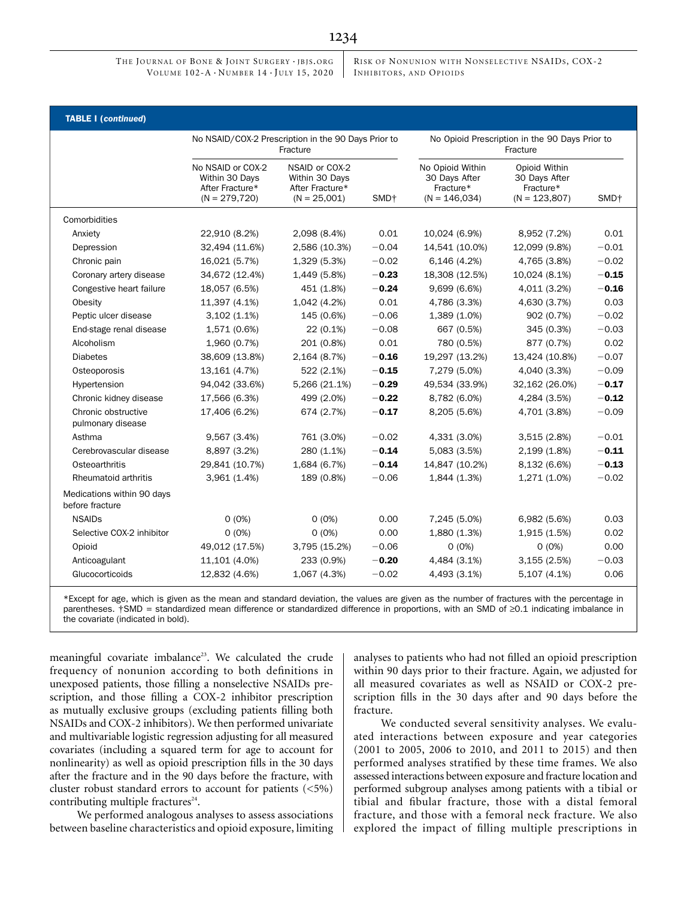RISK OF NONUNION WITH NONSELECTIVE NSAIDS, COX-2 INHIBITORS, AND OPIOIDS

| <b>TABLE I (continued)</b>                    |                                                                            |                                                                       |                  |                                                                   |                                                                |                  |  |
|-----------------------------------------------|----------------------------------------------------------------------------|-----------------------------------------------------------------------|------------------|-------------------------------------------------------------------|----------------------------------------------------------------|------------------|--|
|                                               | No NSAID/COX-2 Prescription in the 90 Days Prior to<br>Fracture            |                                                                       |                  | No Opioid Prescription in the 90 Days Prior to<br>Fracture        |                                                                |                  |  |
|                                               | No NSAID or COX-2<br>Within 30 Days<br>After Fracture*<br>$(N = 279, 720)$ | NSAID or COX-2<br>Within 30 Days<br>After Fracture*<br>$(N = 25,001)$ | SMD <sup>+</sup> | No Opioid Within<br>30 Days After<br>Fracture*<br>$(N = 146,034)$ | Opioid Within<br>30 Days After<br>Fracture*<br>$(N = 123,807)$ | SMD <sup>+</sup> |  |
| Comorbidities                                 |                                                                            |                                                                       |                  |                                                                   |                                                                |                  |  |
| Anxiety                                       | 22,910 (8.2%)                                                              | 2,098 (8.4%)                                                          | 0.01             | 10,024 (6.9%)                                                     | 8,952 (7.2%)                                                   | 0.01             |  |
| Depression                                    | 32,494 (11.6%)                                                             | 2,586 (10.3%)                                                         | $-0.04$          | 14,541 (10.0%)                                                    | 12,099 (9.8%)                                                  | $-0.01$          |  |
| Chronic pain                                  | 16,021 (5.7%)                                                              | 1,329 (5.3%)                                                          | $-0.02$          | 6,146(4.2%)                                                       | 4,765 (3.8%)                                                   | $-0.02$          |  |
| Coronary artery disease                       | 34,672 (12.4%)                                                             | 1,449 (5.8%)                                                          | $-0.23$          | 18,308 (12.5%)                                                    | 10,024 (8.1%)                                                  | $-0.15$          |  |
| Congestive heart failure                      | 18,057 (6.5%)                                                              | 451 (1.8%)                                                            | $-0.24$          | 9,699 (6.6%)                                                      | 4,011 (3.2%)                                                   | $-0.16$          |  |
| Obesity                                       | 11,397 (4.1%)                                                              | 1,042 (4.2%)                                                          | 0.01             | 4,786 (3.3%)                                                      | 4,630 (3.7%)                                                   | 0.03             |  |
| Peptic ulcer disease                          | $3,102(1.1\%)$                                                             | 145 (0.6%)                                                            | $-0.06$          | 1,389 (1.0%)                                                      | 902 (0.7%)                                                     | $-0.02$          |  |
| End-stage renal disease                       | 1,571 (0.6%)                                                               | 22 (0.1%)                                                             | $-0.08$          | 667 (0.5%)                                                        | 345 (0.3%)                                                     | $-0.03$          |  |
| Alcoholism                                    | 1,960 (0.7%)                                                               | 201 (0.8%)                                                            | 0.01             | 780 (0.5%)                                                        | 877 (0.7%)                                                     | 0.02             |  |
| <b>Diabetes</b>                               | 38,609 (13.8%)                                                             | 2,164 (8.7%)                                                          | $-0.16$          | 19,297 (13.2%)                                                    | 13,424 (10.8%)                                                 | $-0.07$          |  |
| Osteoporosis                                  | 13,161 (4.7%)                                                              | 522 (2.1%)                                                            | $-0.15$          | 7,279 (5.0%)                                                      | 4,040 (3.3%)                                                   | $-0.09$          |  |
| Hypertension                                  | 94,042 (33.6%)                                                             | 5,266 (21.1%)                                                         | $-0.29$          | 49,534 (33.9%)                                                    | 32,162 (26.0%)                                                 | $-0.17$          |  |
| Chronic kidney disease                        | 17,566 (6.3%)                                                              | 499 (2.0%)                                                            | $-0.22$          | 8,782 (6.0%)                                                      | 4,284 (3.5%)                                                   | $-0.12$          |  |
| Chronic obstructive<br>pulmonary disease      | 17,406 (6.2%)                                                              | 674 (2.7%)                                                            | $-0.17$          | 8,205 (5.6%)                                                      | 4,701 (3.8%)                                                   | $-0.09$          |  |
| Asthma                                        | 9,567 (3.4%)                                                               | 761 (3.0%)                                                            | $-0.02$          | 4,331 (3.0%)                                                      | 3,515 (2.8%)                                                   | $-0.01$          |  |
| Cerebrovascular disease                       | 8,897 (3.2%)                                                               | 280 (1.1%)                                                            | $-0.14$          | 5,083 (3.5%)                                                      | 2,199 (1.8%)                                                   | $-0.11$          |  |
| Osteoarthritis                                | 29,841 (10.7%)                                                             | 1,684 (6.7%)                                                          | $-0.14$          | 14,847 (10.2%)                                                    | 8,132 (6.6%)                                                   | $-0.13$          |  |
| Rheumatoid arthritis                          | 3,961 (1.4%)                                                               | 189 (0.8%)                                                            | $-0.06$          | 1,844 (1.3%)                                                      | 1,271 (1.0%)                                                   | $-0.02$          |  |
| Medications within 90 days<br>before fracture |                                                                            |                                                                       |                  |                                                                   |                                                                |                  |  |
| <b>NSAIDs</b>                                 | $0(0\%)$                                                                   | $0(0\%)$                                                              | 0.00             | 7,245 (5.0%)                                                      | 6,982 (5.6%)                                                   | 0.03             |  |
| Selective COX-2 inhibitor                     | $0(0\%)$                                                                   | $0(0\%)$                                                              | 0.00             | 1,880 (1.3%)                                                      | 1,915 (1.5%)                                                   | 0.02             |  |
| Opioid                                        | 49,012 (17.5%)                                                             | 3,795 (15.2%)                                                         | $-0.06$          | $0(0\%)$                                                          | $0(0\%)$                                                       | 0.00             |  |
| Anticoagulant                                 | 11,101 (4.0%)                                                              | 233 (0.9%)                                                            | $-0.20$          | 4,484 (3.1%)                                                      | 3,155(2.5%)                                                    | $-0.03$          |  |
| Glucocorticoids                               | 12,832 (4.6%)                                                              | 1,067 (4.3%)                                                          | $-0.02$          | 4,493 (3.1%)                                                      | 5,107 (4.1%)                                                   | 0.06             |  |

\*Except for age, which is given as the mean and standard deviation, the values are given as the number of fractures with the percentage in parentheses. †SMD = standardized mean difference or standardized difference in proportions, with an SMD of ≥0.1 indicating imbalance in the covariate (indicated in bold).

meaningful covariate imbalance<sup>23</sup>. We calculated the crude frequency of nonunion according to both definitions in unexposed patients, those filling a nonselective NSAIDs prescription, and those filling a COX-2 inhibitor prescription as mutually exclusive groups (excluding patients filling both NSAIDs and COX-2 inhibitors). We then performed univariate and multivariable logistic regression adjusting for all measured covariates (including a squared term for age to account for nonlinearity) as well as opioid prescription fills in the 30 days after the fracture and in the 90 days before the fracture, with cluster robust standard errors to account for patients (<5%) contributing multiple fractures $24$ .

We performed analogous analyses to assess associations between baseline characteristics and opioid exposure, limiting analyses to patients who had not filled an opioid prescription within 90 days prior to their fracture. Again, we adjusted for all measured covariates as well as NSAID or COX-2 prescription fills in the 30 days after and 90 days before the fracture.

We conducted several sensitivity analyses. We evaluated interactions between exposure and year categories (2001 to 2005, 2006 to 2010, and 2011 to 2015) and then performed analyses stratified by these time frames. We also assessed interactions between exposure and fracture location and performed subgroup analyses among patients with a tibial or tibial and fibular fracture, those with a distal femoral fracture, and those with a femoral neck fracture. We also explored the impact of filling multiple prescriptions in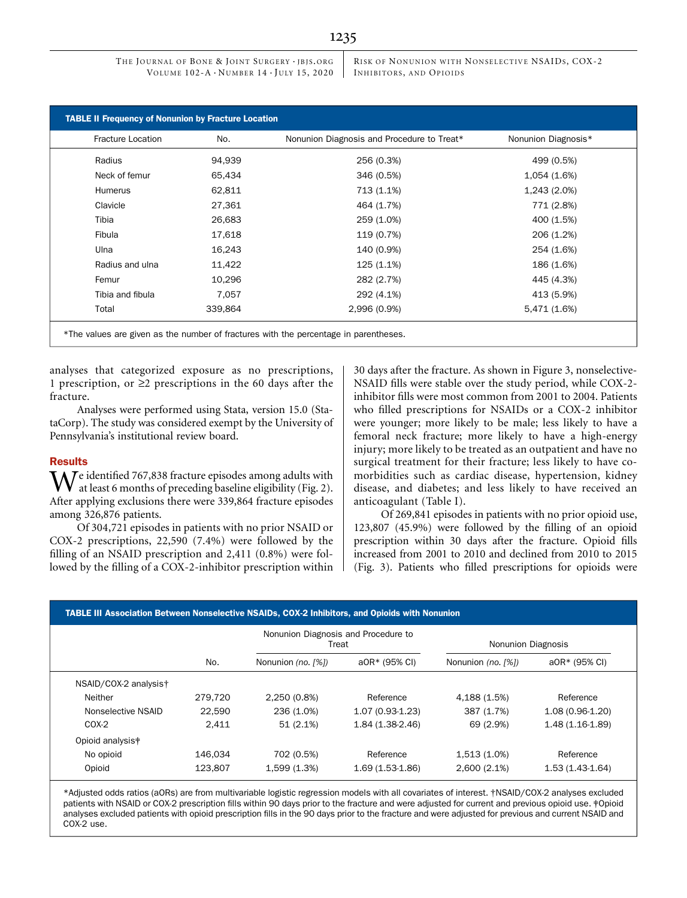RISK OF NONUNION WITH NONSELECTIVE NSAIDS, COX-2 INHIBITORS, AND OPIOIDS

| <b>Fracture Location</b> | No.     | Nonunion Diagnosis and Procedure to Treat* | Nonunion Diagnosis* |  |
|--------------------------|---------|--------------------------------------------|---------------------|--|
| Radius                   | 94,939  | 256 (0.3%)                                 | 499 (0.5%)          |  |
| Neck of femur            | 65,434  | 346 (0.5%)                                 | 1,054 (1.6%)        |  |
| <b>Humerus</b>           | 62,811  | 713 (1.1%)                                 | 1,243 (2.0%)        |  |
| Clavicle                 | 27,361  | 464 (1.7%)                                 | 771 (2.8%)          |  |
| Tibia                    | 26,683  | 259 (1.0%)                                 | 400 (1.5%)          |  |
| Fibula                   | 17,618  | 119 (0.7%)                                 | 206 (1.2%)          |  |
| Ulna                     | 16,243  | 140 (0.9%)                                 | 254 (1.6%)          |  |
| Radius and ulna          | 11,422  | 125 (1.1%)                                 | 186 (1.6%)          |  |
| Femur                    | 10,296  | 282 (2.7%)                                 | 445 (4.3%)          |  |
| Tibia and fibula         | 7,057   | 292 (4.1%)                                 | 413 (5.9%)          |  |
| Total                    | 339,864 | 2,996 (0.9%)                               | 5,471 (1.6%)        |  |

analyses that categorized exposure as no prescriptions, 1 prescription, or  $\geq$ 2 prescriptions in the 60 days after the fracture.

Analyses were performed using Stata, version 15.0 (StataCorp). The study was considered exempt by the University of Pennsylvania's institutional review board.

## **Results**

 $\Lambda$   $\overline{I}$  e identified 767,838 fracture episodes among adults with at least 6 months of preceding baseline eligibility (Fig. 2). After applying exclusions there were 339,864 fracture episodes among 326,876 patients.

Of 304,721 episodes in patients with no prior NSAID or COX-2 prescriptions, 22,590 (7.4%) were followed by the filling of an NSAID prescription and 2,411 (0.8%) were followed by the filling of a COX-2-inhibitor prescription within 30 days after the fracture. As shown in Figure 3, nonselective-NSAID fills were stable over the study period, while COX-2 inhibitor fills were most common from 2001 to 2004. Patients who filled prescriptions for NSAIDs or a COX-2 inhibitor were younger; more likely to be male; less likely to have a femoral neck fracture; more likely to have a high-energy injury; more likely to be treated as an outpatient and have no surgical treatment for their fracture; less likely to have comorbidities such as cardiac disease, hypertension, kidney disease, and diabetes; and less likely to have received an anticoagulant (Table I).

Of 269,841 episodes in patients with no prior opioid use, 123,807 (45.9%) were followed by the filling of an opioid prescription within 30 days after the fracture. Opioid fills increased from 2001 to 2010 and declined from 2010 to 2015 (Fig. 3). Patients who filled prescriptions for opioids were

|                       | <b>TABLE III Association Between Nonselective NSAIDs, COX-2 Inhibitors, and Opioids with Nonunion</b><br>Nonunion Diagnosis and Procedure to |                    |                   |                    |                   |  |  |
|-----------------------|----------------------------------------------------------------------------------------------------------------------------------------------|--------------------|-------------------|--------------------|-------------------|--|--|
|                       | No.                                                                                                                                          | Treat              |                   | Nonunion Diagnosis |                   |  |  |
|                       |                                                                                                                                              | Nonunion (no. [%]) | a0R* (95% CI)     | Nonunion (no. [%]) | a0R* (95% CI)     |  |  |
| NSAID/COX-2 analysist |                                                                                                                                              |                    |                   |                    |                   |  |  |
| Neither               | 279.720                                                                                                                                      | 2,250 (0.8%)       | Reference         | 4,188 (1.5%)       | Reference         |  |  |
| Nonselective NSAID    | 22.590                                                                                                                                       | 236 (1.0%)         | $1.07(0.93-1.23)$ | 387 (1.7%)         | $1.08(0.96-1.20)$ |  |  |
| $COX-2$               | 2.411                                                                                                                                        | 51(2.1%)           | 1.84 (1.38-2.46)  | 69 (2.9%)          | $1.48(1.16-1.89)$ |  |  |
| Opioid analysis#      |                                                                                                                                              |                    |                   |                    |                   |  |  |
| No opioid             | 146.034                                                                                                                                      | 702 (0.5%)         | Reference         | 1,513 (1.0%)       | Reference         |  |  |
| Opioid                | 123,807                                                                                                                                      | 1,599 (1.3%)       | $1.69(1.53-1.86)$ | 2,600 (2.1%)       | $1.53(1.43-1.64)$ |  |  |

\*Adjusted odds ratios (aORs) are from multivariable logistic regression models with all covariates of interest. †NSAID/COX-2 analyses excluded patients with NSAID or COX-2 prescription fills within 90 days prior to the fracture and were adjusted for current and previous opioid use. ‡Opioid analyses excluded patients with opioid prescription fills in the 90 days prior to the fracture and were adjusted for previous and current NSAID and COX-2 use.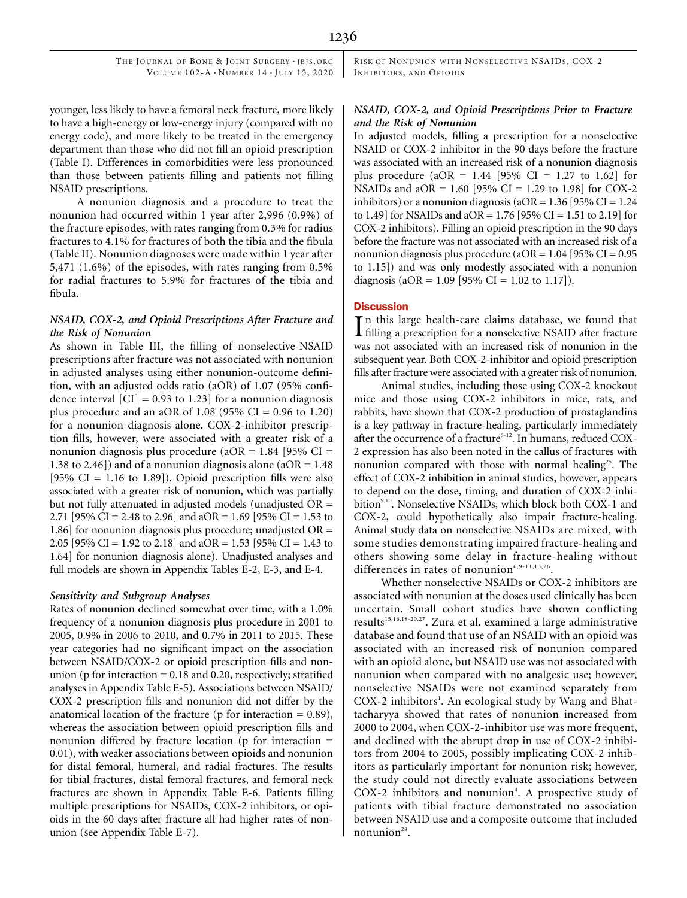RISK OF NONUNION WITH NONSELECTIVE NSAIDS, COX-2 INHIBITORS, AND OPIOIDS

younger, less likely to have a femoral neck fracture, more likely to have a high-energy or low-energy injury (compared with no energy code), and more likely to be treated in the emergency department than those who did not fill an opioid prescription (Table I). Differences in comorbidities were less pronounced than those between patients filling and patients not filling NSAID prescriptions.

A nonunion diagnosis and a procedure to treat the nonunion had occurred within 1 year after 2,996 (0.9%) of the fracture episodes, with rates ranging from 0.3% for radius fractures to 4.1% for fractures of both the tibia and the fibula (Table II). Nonunion diagnoses were made within 1 year after 5,471 (1.6%) of the episodes, with rates ranging from 0.5% for radial fractures to 5.9% for fractures of the tibia and fibula.

# NSAID, COX-2, and Opioid Prescriptions After Fracture and the Risk of Nonunion

As shown in Table III, the filling of nonselective-NSAID prescriptions after fracture was not associated with nonunion in adjusted analyses using either nonunion-outcome definition, with an adjusted odds ratio (aOR) of 1.07 (95% confidence interval  $\text{[CI]} = 0.93$  to 1.23] for a nonunion diagnosis plus procedure and an aOR of 1.08 (95% CI =  $0.96$  to 1.20) for a nonunion diagnosis alone. COX-2-inhibitor prescription fills, however, were associated with a greater risk of a nonunion diagnosis plus procedure (aOR =  $1.84$  [95% CI = 1.38 to 2.46]) and of a nonunion diagnosis alone (aOR =  $1.48$ ) [95%  $CI = 1.16$  to 1.89]). Opioid prescription fills were also associated with a greater risk of nonunion, which was partially but not fully attenuated in adjusted models (unadjusted OR = 2.71 [95% CI = 2.48 to 2.96] and aOR = 1.69 [95% CI = 1.53 to 1.86] for nonunion diagnosis plus procedure; unadjusted OR = 2.05 [95% CI = 1.92 to 2.18] and aOR = 1.53 [95% CI = 1.43 to 1.64] for nonunion diagnosis alone). Unadjusted analyses and full models are shown in Appendix Tables E-2, E-3, and E-4.

# Sensitivity and Subgroup Analyses

Rates of nonunion declined somewhat over time, with a 1.0% frequency of a nonunion diagnosis plus procedure in 2001 to 2005, 0.9% in 2006 to 2010, and 0.7% in 2011 to 2015. These year categories had no significant impact on the association between NSAID/COX-2 or opioid prescription fills and nonunion ( $p$  for interaction  $= 0.18$  and 0.20, respectively; stratified analyses in Appendix Table E-5). Associations between NSAID/ COX-2 prescription fills and nonunion did not differ by the anatomical location of the fracture ( $p$  for interaction  $= 0.89$ ), whereas the association between opioid prescription fills and nonunion differed by fracture location (p for interaction = 0.01), with weaker associations between opioids and nonunion for distal femoral, humeral, and radial fractures. The results for tibial fractures, distal femoral fractures, and femoral neck fractures are shown in Appendix Table E-6. Patients filling multiple prescriptions for NSAIDs, COX-2 inhibitors, or opioids in the 60 days after fracture all had higher rates of nonunion (see Appendix Table E-7).

# NSAID, COX-2, and Opioid Prescriptions Prior to Fracture and the Risk of Nonunion

In adjusted models, filling a prescription for a nonselective NSAID or COX-2 inhibitor in the 90 days before the fracture was associated with an increased risk of a nonunion diagnosis plus procedure (aOR =  $1.44$  [95% CI = 1.27 to 1.62] for NSAIDs and aOR =  $1.60$  [95% CI = 1.29 to 1.98] for COX-2 inhibitors) or a nonunion diagnosis ( $aOR = 1.36$  [95% CI = 1.24 to 1.49] for NSAIDs and aOR = 1.76 [95% CI = 1.51 to 2.19] for COX-2 inhibitors). Filling an opioid prescription in the 90 days before the fracture was not associated with an increased risk of a nonunion diagnosis plus procedure ( $aOR = 1.04$  [95% CI = 0.95 to 1.15]) and was only modestly associated with a nonunion diagnosis (aOR = 1.09 [95% CI = 1.02 to 1.17]).

# **Discussion**

In this large health-care claims database, we found that filling a prescription for a nonselective NSAID after fracture In this large health-care claims database, we found that was not associated with an increased risk of nonunion in the subsequent year. Both COX-2-inhibitor and opioid prescription fills after fracture were associated with a greater risk of nonunion.

Animal studies, including those using COX-2 knockout mice and those using COX-2 inhibitors in mice, rats, and rabbits, have shown that COX-2 production of prostaglandins is a key pathway in fracture-healing, particularly immediately after the occurrence of a fracture<sup>6-12</sup>. In humans, reduced COX-2 expression has also been noted in the callus of fractures with nonunion compared with those with normal healing<sup>25</sup>. The effect of COX-2 inhibition in animal studies, however, appears to depend on the dose, timing, and duration of COX-2 inhibition<sup>9,10</sup>. Nonselective NSAIDs, which block both COX-1 and COX-2, could hypothetically also impair fracture-healing. Animal study data on nonselective NSAIDs are mixed, with some studies demonstrating impaired fracture-healing and others showing some delay in fracture-healing without differences in rates of nonunion $6,9-11,13,26$ .

Whether nonselective NSAIDs or COX-2 inhibitors are associated with nonunion at the doses used clinically has been uncertain. Small cohort studies have shown conflicting results<sup>15,16,18-20,27</sup>. Zura et al. examined a large administrative database and found that use of an NSAID with an opioid was associated with an increased risk of nonunion compared with an opioid alone, but NSAID use was not associated with nonunion when compared with no analgesic use; however, nonselective NSAIDs were not examined separately from COX-2 inhibitors<sup>1</sup>. An ecological study by Wang and Bhattacharyya showed that rates of nonunion increased from 2000 to 2004, when COX-2-inhibitor use was more frequent, and declined with the abrupt drop in use of COX-2 inhibitors from 2004 to 2005, possibly implicating COX-2 inhibitors as particularly important for nonunion risk; however, the study could not directly evaluate associations between COX-2 inhibitors and nonunion<sup>4</sup>. A prospective study of patients with tibial fracture demonstrated no association between NSAID use and a composite outcome that included nonunion $28$ .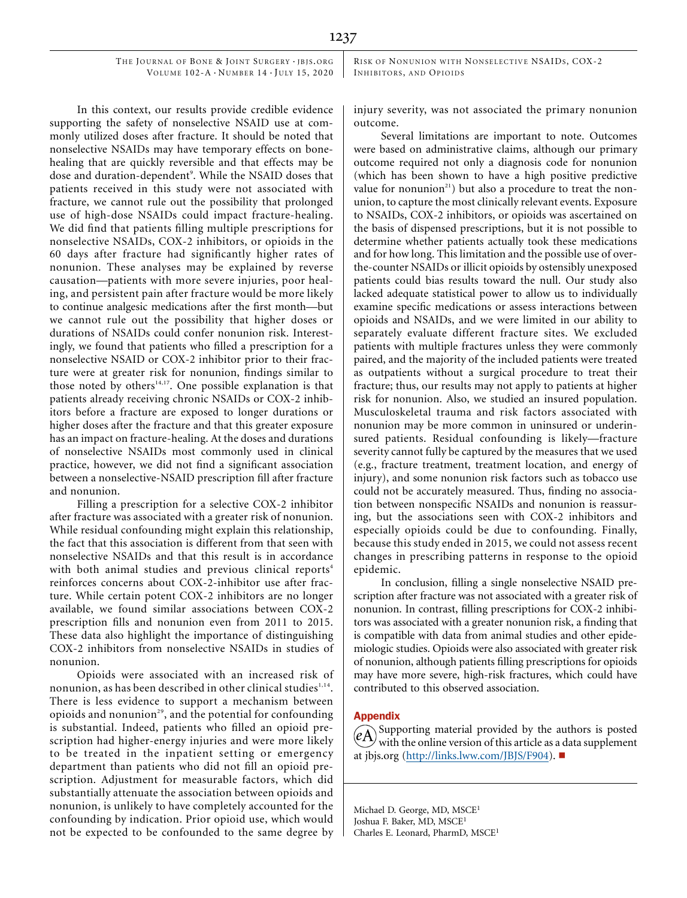RISK OF NONUNION WITH NONSELECTIVE NSAIDS, COX-2 INHIBITORS, AND OPIOIDS

In this context, our results provide credible evidence supporting the safety of nonselective NSAID use at commonly utilized doses after fracture. It should be noted that nonselective NSAIDs may have temporary effects on bonehealing that are quickly reversible and that effects may be dose and duration-dependent<sup>9</sup>. While the NSAID doses that patients received in this study were not associated with fracture, we cannot rule out the possibility that prolonged use of high-dose NSAIDs could impact fracture-healing. We did find that patients filling multiple prescriptions for nonselective NSAIDs, COX-2 inhibitors, or opioids in the 60 days after fracture had significantly higher rates of nonunion. These analyses may be explained by reverse causation—patients with more severe injuries, poor healing, and persistent pain after fracture would be more likely to continue analgesic medications after the first month—but we cannot rule out the possibility that higher doses or durations of NSAIDs could confer nonunion risk. Interestingly, we found that patients who filled a prescription for a nonselective NSAID or COX-2 inhibitor prior to their fracture were at greater risk for nonunion, findings similar to those noted by others<sup>14,17</sup>. One possible explanation is that patients already receiving chronic NSAIDs or COX-2 inhibitors before a fracture are exposed to longer durations or higher doses after the fracture and that this greater exposure has an impact on fracture-healing. At the doses and durations of nonselective NSAIDs most commonly used in clinical practice, however, we did not find a significant association between a nonselective-NSAID prescription fill after fracture and nonunion.

Filling a prescription for a selective COX-2 inhibitor after fracture was associated with a greater risk of nonunion. While residual confounding might explain this relationship, the fact that this association is different from that seen with nonselective NSAIDs and that this result is in accordance with both animal studies and previous clinical reports<sup>4</sup> reinforces concerns about COX-2-inhibitor use after fracture. While certain potent COX-2 inhibitors are no longer available, we found similar associations between COX-2 prescription fills and nonunion even from 2011 to 2015. These data also highlight the importance of distinguishing COX-2 inhibitors from nonselective NSAIDs in studies of nonunion.

Opioids were associated with an increased risk of nonunion, as has been described in other clinical studies<sup>1,14</sup>. There is less evidence to support a mechanism between opioids and nonunion<sup>29</sup>, and the potential for confounding is substantial. Indeed, patients who filled an opioid prescription had higher-energy injuries and were more likely to be treated in the inpatient setting or emergency department than patients who did not fill an opioid prescription. Adjustment for measurable factors, which did substantially attenuate the association between opioids and nonunion, is unlikely to have completely accounted for the confounding by indication. Prior opioid use, which would not be expected to be confounded to the same degree by injury severity, was not associated the primary nonunion outcome.

Several limitations are important to note. Outcomes were based on administrative claims, although our primary outcome required not only a diagnosis code for nonunion (which has been shown to have a high positive predictive value for nonunion<sup>21</sup>) but also a procedure to treat the nonunion, to capture the most clinically relevant events. Exposure to NSAIDs, COX-2 inhibitors, or opioids was ascertained on the basis of dispensed prescriptions, but it is not possible to determine whether patients actually took these medications and for how long. This limitation and the possible use of overthe-counter NSAIDs or illicit opioids by ostensibly unexposed patients could bias results toward the null. Our study also lacked adequate statistical power to allow us to individually examine specific medications or assess interactions between opioids and NSAIDs, and we were limited in our ability to separately evaluate different fracture sites. We excluded patients with multiple fractures unless they were commonly paired, and the majority of the included patients were treated as outpatients without a surgical procedure to treat their fracture; thus, our results may not apply to patients at higher risk for nonunion. Also, we studied an insured population. Musculoskeletal trauma and risk factors associated with nonunion may be more common in uninsured or underinsured patients. Residual confounding is likely—fracture severity cannot fully be captured by the measures that we used (e.g., fracture treatment, treatment location, and energy of injury), and some nonunion risk factors such as tobacco use could not be accurately measured. Thus, finding no association between nonspecific NSAIDs and nonunion is reassuring, but the associations seen with COX-2 inhibitors and especially opioids could be due to confounding. Finally, because this study ended in 2015, we could not assess recent changes in prescribing patterns in response to the opioid epidemic.

In conclusion, filling a single nonselective NSAID prescription after fracture was not associated with a greater risk of nonunion. In contrast, filling prescriptions for COX-2 inhibitors was associated with a greater nonunion risk, a finding that is compatible with data from animal studies and other epidemiologic studies. Opioids were also associated with greater risk of nonunion, although patients filling prescriptions for opioids may have more severe, high-risk fractures, which could have contributed to this observed association.

## Appendix

Supporting material provided by the authors is posted with the online version of this article as a data supplement at [jbjs.org](http://jbjs.org) (<http://links.lww.com/JBJS/F904>).

Michael D. George, MD, MSCE<sup>1</sup> Joshua F. Baker, MD, MSCE<sup>1</sup> Charles E. Leonard, PharmD, MSCE<sup>1</sup>